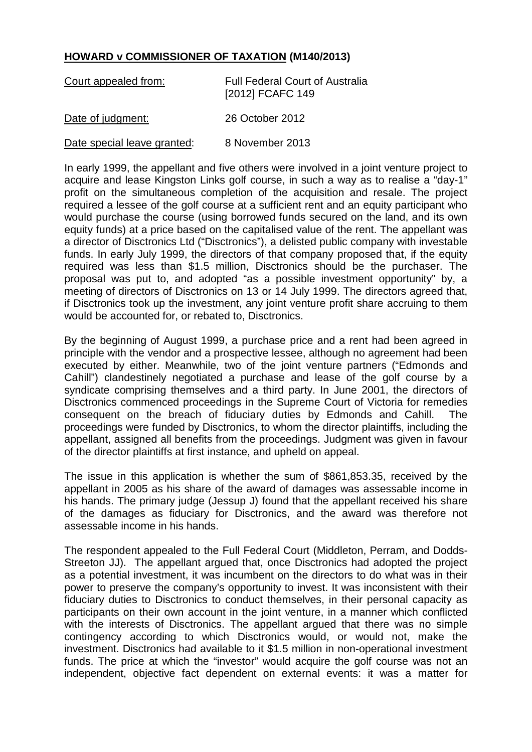## **HOWARD v COMMISSIONER OF TAXATION (M140/2013)**

| Court appealed from:        | <b>Full Federal Court of Australia</b><br>[2012] FCAFC 149 |
|-----------------------------|------------------------------------------------------------|
| Date of judgment:           | 26 October 2012                                            |
| Date special leave granted: | 8 November 2013                                            |

In early 1999, the appellant and five others were involved in a joint venture project to acquire and lease Kingston Links golf course, in such a way as to realise a "day-1" profit on the simultaneous completion of the acquisition and resale. The project required a lessee of the golf course at a sufficient rent and an equity participant who would purchase the course (using borrowed funds secured on the land, and its own equity funds) at a price based on the capitalised value of the rent. The appellant was a director of Disctronics Ltd ("Disctronics"), a delisted public company with investable funds. In early July 1999, the directors of that company proposed that, if the equity required was less than \$1.5 million, Disctronics should be the purchaser. The proposal was put to, and adopted "as a possible investment opportunity" by, a meeting of directors of Disctronics on 13 or 14 July 1999. The directors agreed that, if Disctronics took up the investment, any joint venture profit share accruing to them would be accounted for, or rebated to, Disctronics.

By the beginning of August 1999, a purchase price and a rent had been agreed in principle with the vendor and a prospective lessee, although no agreement had been executed by either. Meanwhile, two of the joint venture partners ("Edmonds and Cahill") clandestinely negotiated a purchase and lease of the golf course by a syndicate comprising themselves and a third party. In June 2001, the directors of Disctronics commenced proceedings in the Supreme Court of Victoria for remedies consequent on the breach of fiduciary duties by Edmonds and Cahill. The proceedings were funded by Disctronics, to whom the director plaintiffs, including the appellant, assigned all benefits from the proceedings. Judgment was given in favour of the director plaintiffs at first instance, and upheld on appeal.

The issue in this application is whether the sum of \$861,853.35, received by the appellant in 2005 as his share of the award of damages was assessable income in his hands. The primary judge (Jessup J) found that the appellant received his share of the damages as fiduciary for Disctronics, and the award was therefore not assessable income in his hands.

The respondent appealed to the Full Federal Court (Middleton, Perram, and Dodds-Streeton JJ). The appellant argued that, once Disctronics had adopted the project as a potential investment, it was incumbent on the directors to do what was in their power to preserve the company's opportunity to invest. It was inconsistent with their fiduciary duties to Disctronics to conduct themselves, in their personal capacity as participants on their own account in the joint venture, in a manner which conflicted with the interests of Disctronics. The appellant argued that there was no simple contingency according to which Disctronics would, or would not, make the investment. Disctronics had available to it \$1.5 million in non-operational investment funds. The price at which the "investor" would acquire the golf course was not an independent, objective fact dependent on external events: it was a matter for